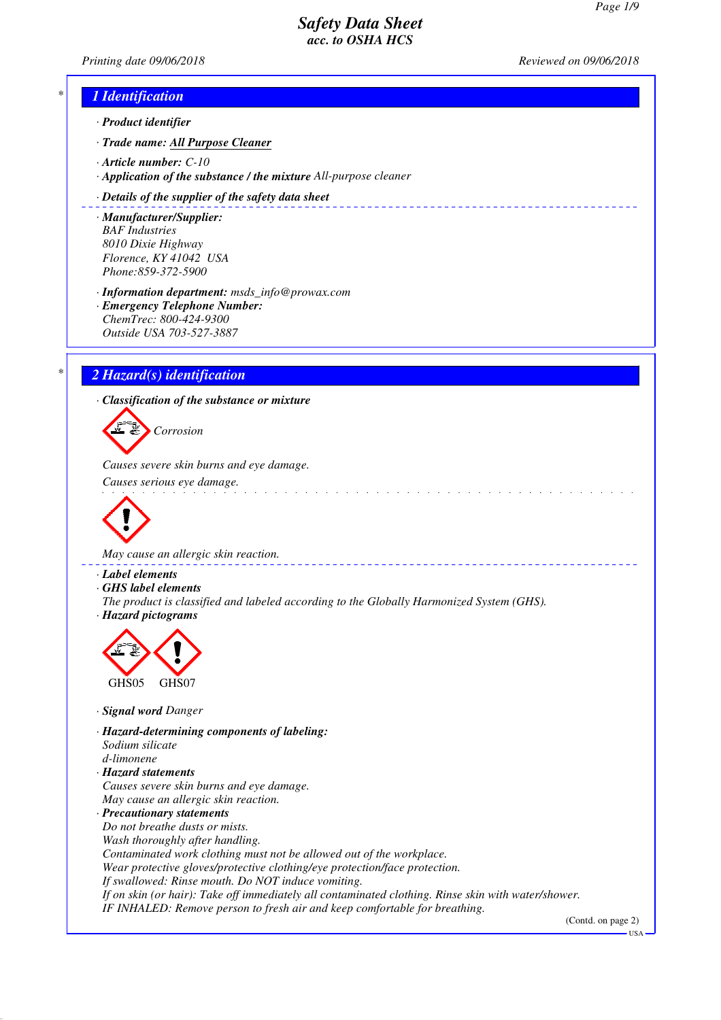*Printing date 09/06/2018 Reviewed on 09/06/2018*

# *\* 1 Identification*

- *· Product identifier*
- *· Trade name: All Purpose Cleaner*
- *· Article number: C-10*
- *· Application of the substance / the mixture All-purpose cleaner*

### *· Details of the supplier of the safety data sheet*

- *· Manufacturer/Supplier: BAF Industries 8010 Dixie Highway Florence, KY 41042 USA Phone:859-372-5900*
- *· Information department: msds\_info@prowax.com*
- *· Emergency Telephone Number: ChemTrec: 800-424-9300 Outside USA 703-527-3887*

# *\* 2 Hazard(s) identification*

*· Classification of the substance or mixture*

*Corrosion*

*Causes severe skin burns and eye damage.* 

*Causes serious eye damage.* 



*May cause an allergic skin reaction.* 

- *· Label elements*
- *· GHS label elements*
- *The product is classified and labeled according to the Globally Harmonized System (GHS). · Hazard pictograms*



- *· Signal word Danger*
- *· Hazard-determining components of labeling: Sodium silicate d-limonene · Hazard statements*
- *Causes severe skin burns and eye damage. May cause an allergic skin reaction.*

*· Precautionary statements Do not breathe dusts or mists. Wash thoroughly after handling. Contaminated work clothing must not be allowed out of the workplace. Wear protective gloves/protective clothing/eye protection/face protection. If swallowed: Rinse mouth. Do NOT induce vomiting. If on skin (or hair): Take off immediately all contaminated clothing. Rinse skin with water/shower. IF INHALED: Remove person to fresh air and keep comfortable for breathing.*

(Contd. on page 2)

USA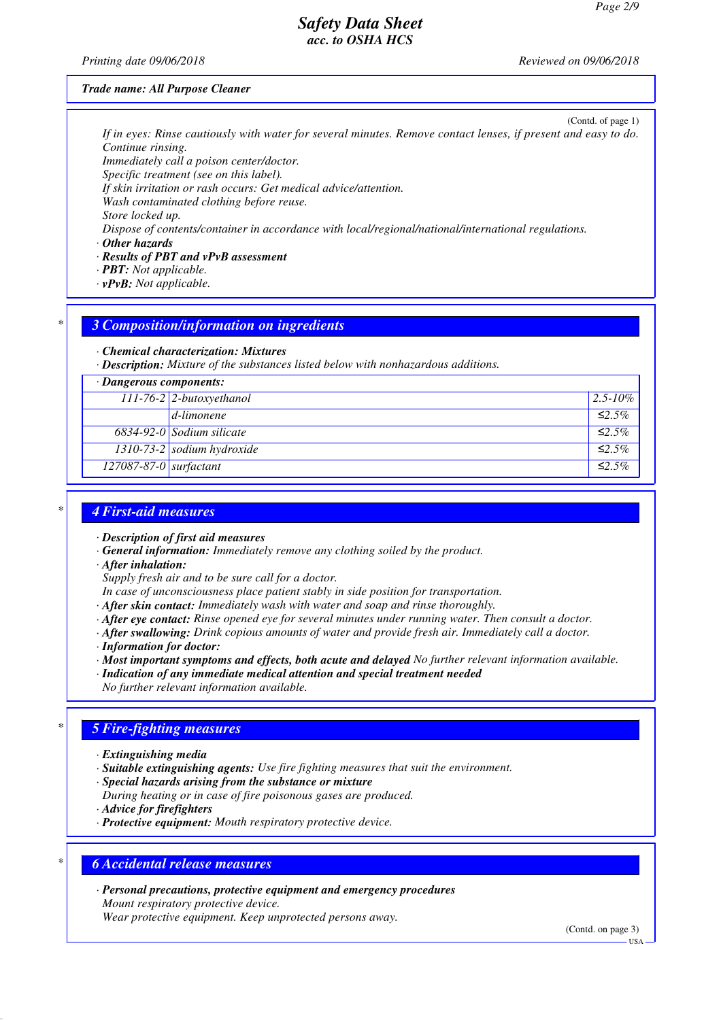*Printing date 09/06/2018 Reviewed on 09/06/2018*

#### *Trade name: All Purpose Cleaner*

(Contd. of page 1)

*If in eyes: Rinse cautiously with water for several minutes. Remove contact lenses, if present and easy to do. Continue rinsing.*

*Immediately call a poison center/doctor.*

*Specific treatment (see on this label).*

*If skin irritation or rash occurs: Get medical advice/attention.*

*Wash contaminated clothing before reuse. Store locked up.*

*Dispose of contents/container in accordance with local/regional/national/international regulations.*

*· Other hazards*

*· Results of PBT and vPvB assessment*

*· PBT: Not applicable.*

*· vPvB: Not applicable.*

### *\* 3 Composition/information on ingredients*

#### *· Chemical characterization: Mixtures*

*· Description: Mixture of the substances listed below with nonhazardous additions.*

|  | · Dangerous components: |
|--|-------------------------|
|--|-------------------------|

| Dangerous components.            |                                    |              |
|----------------------------------|------------------------------------|--------------|
|                                  | $\boxed{111-76-2}$ 2-butoxyethanol | $2.5 - 10\%$ |
|                                  | $d$ -limonene                      | $\leq 2.5\%$ |
|                                  | $6834-92-0$ Sodium silicate        | $\leq 2.5\%$ |
|                                  | 1310-73-2 sodium hydroxide         | $\leq 2.5\%$ |
| $\boxed{127087-87-0}$ surfactant |                                    | $\leq 2.5\%$ |
|                                  |                                    |              |

# *\* 4 First-aid measures*

- *· Description of first aid measures*
- *· General information: Immediately remove any clothing soiled by the product.*
- *· After inhalation:*

*Supply fresh air and to be sure call for a doctor.*

- *In case of unconsciousness place patient stably in side position for transportation.*
- *· After skin contact: Immediately wash with water and soap and rinse thoroughly.*
- *· After eye contact: Rinse opened eye for several minutes under running water. Then consult a doctor.*
- *· After swallowing: Drink copious amounts of water and provide fresh air. Immediately call a doctor.*
- *· Information for doctor:*
- *· Most important symptoms and effects, both acute and delayed No further relevant information available.*
- *· Indication of any immediate medical attention and special treatment needed*
- *No further relevant information available.*

## *\* 5 Fire-fighting measures*

- *· Extinguishing media*
- *· Suitable extinguishing agents: Use fire fighting measures that suit the environment.*
- *· Special hazards arising from the substance or mixture*
- *During heating or in case of fire poisonous gases are produced.*
- *· Advice for firefighters*
- *· Protective equipment: Mouth respiratory protective device.*

### *\* 6 Accidental release measures*

*· Personal precautions, protective equipment and emergency procedures Mount respiratory protective device. Wear protective equipment. Keep unprotected persons away.*

(Contd. on page 3)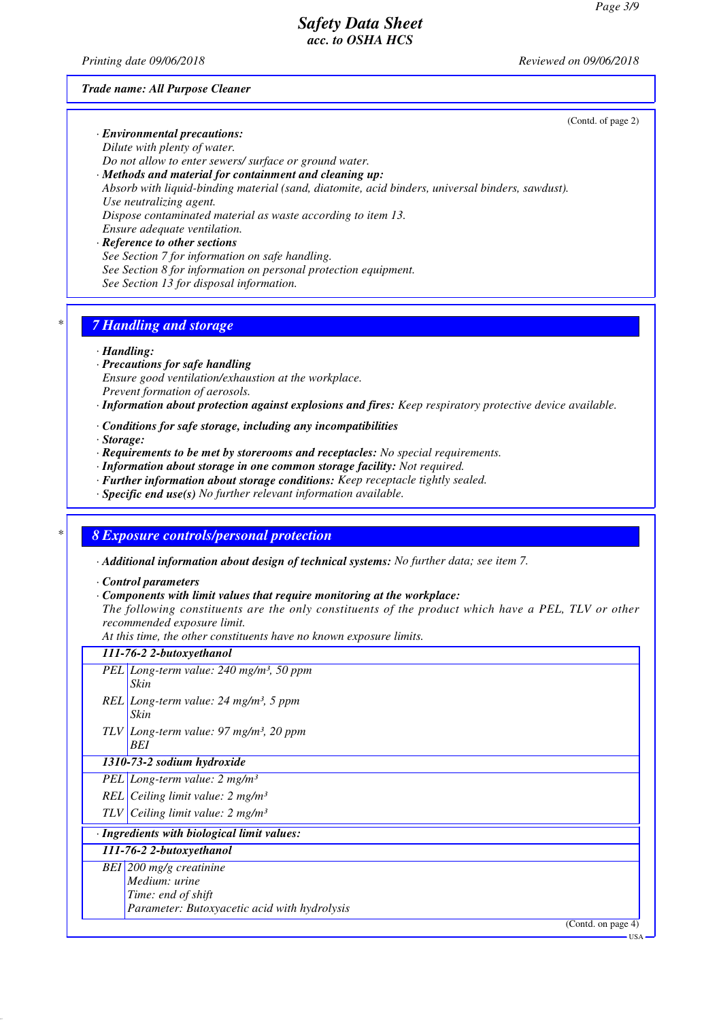*Printing date 09/06/2018 Reviewed on 09/06/2018*

(Contd. of page 2)

#### *Trade name: All Purpose Cleaner*

### *· Environmental precautions: Dilute with plenty of water.*

*Do not allow to enter sewers/ surface or ground water.*

### *· Methods and material for containment and cleaning up: Absorb with liquid-binding material (sand, diatomite, acid binders, universal binders, sawdust). Use neutralizing agent. Dispose contaminated material as waste according to item 13. Ensure adequate ventilation.*

*· Reference to other sections See Section 7 for information on safe handling. See Section 8 for information on personal protection equipment. See Section 13 for disposal information.*

## *\* 7 Handling and storage*

#### *· Handling:*

- *· Precautions for safe handling Ensure good ventilation/exhaustion at the workplace. Prevent formation of aerosols.*
- *· Information about protection against explosions and fires: Keep respiratory protective device available.*
- *· Conditions for safe storage, including any incompatibilities*
- *· Storage:*
- *· Requirements to be met by storerooms and receptacles: No special requirements.*
- *· Information about storage in one common storage facility: Not required.*
- *· Further information about storage conditions: Keep receptacle tightly sealed.*
- *· Specific end use(s) No further relevant information available.*

# *\* 8 Exposure controls/personal protection*

*· Additional information about design of technical systems: No further data; see item 7.*

*· Control parameters*

*· Components with limit values that require monitoring at the workplace:*

*The following constituents are the only constituents of the product which have a PEL, TLV or other recommended exposure limit.*

*At this time, the other constituents have no known exposure limits.*

### *111-76-2 2-butoxyethanol PEL Long-term value: 240 mg/m³, 50 ppm*

- *Skin REL Long-term value: 24 mg/m³, 5 ppm Skin*
- *TLV Long-term value: 97 mg/m³, 20 ppm BEI*

### *1310-73-2 sodium hydroxide*

*PEL Long-term value: 2 mg/m³*

- *REL Ceiling limit value: 2 mg/m³*
- *TLV Ceiling limit value: 2 mg/m³*

### *· Ingredients with biological limit values:*

### *111-76-2 2-butoxyethanol*

- *BEI 200 mg/g creatinine*
	- *Medium: urine Time: end of shift*
		- *Parameter: Butoxyacetic acid with hydrolysis*

(Contd. on page 4)

USA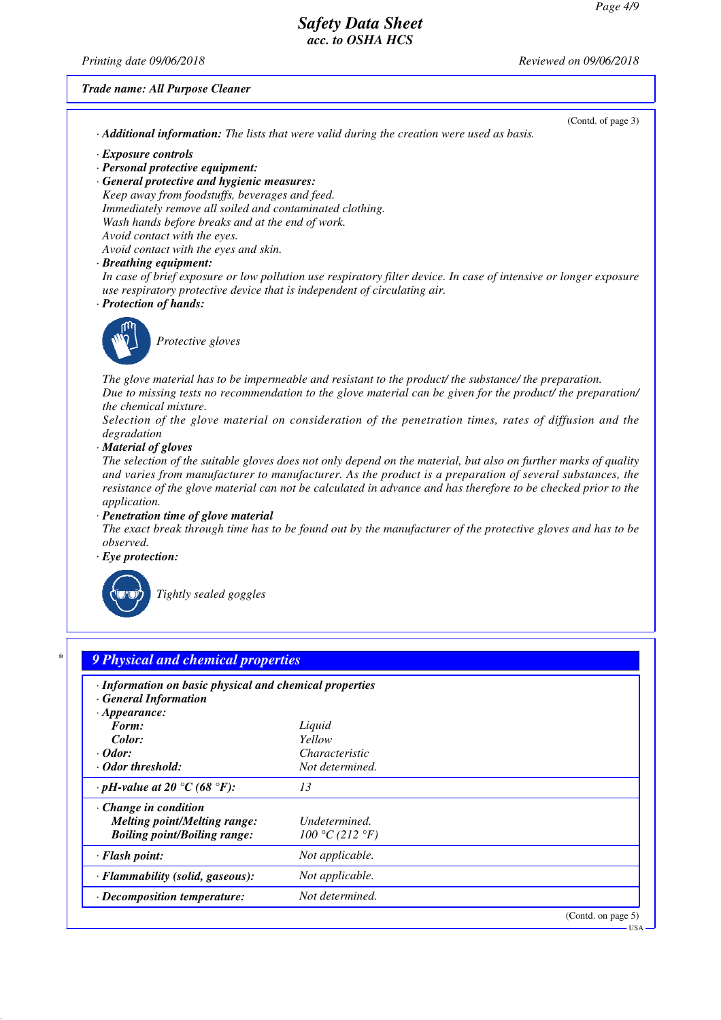*Printing date 09/06/2018 Reviewed on 09/06/2018*

(Contd. of page 3)

*Trade name: All Purpose Cleaner*

*· Additional information: The lists that were valid during the creation were used as basis.*

- *· Exposure controls*
- *· Personal protective equipment:*
- *· General protective and hygienic measures: Keep away from foodstuffs, beverages and feed. Immediately remove all soiled and contaminated clothing. Wash hands before breaks and at the end of work. Avoid contact with the eyes. Avoid contact with the eyes and skin.*
- *· Breathing equipment:*

*In case of brief exposure or low pollution use respiratory filter device. In case of intensive or longer exposure use respiratory protective device that is independent of circulating air.*

*· Protection of hands:*



*Protective gloves*

*The glove material has to be impermeable and resistant to the product/ the substance/ the preparation. Due to missing tests no recommendation to the glove material can be given for the product/ the preparation/ the chemical mixture.*

*Selection of the glove material on consideration of the penetration times, rates of diffusion and the degradation*

*· Material of gloves*

*The selection of the suitable gloves does not only depend on the material, but also on further marks of quality and varies from manufacturer to manufacturer. As the product is a preparation of several substances, the resistance of the glove material can not be calculated in advance and has therefore to be checked prior to the application.*

*· Penetration time of glove material*

*The exact break through time has to be found out by the manufacturer of the protective gloves and has to be observed.*

*· Eye protection:*



*Tightly sealed goggles*

| · Information on basic physical and chemical properties<br>· General Information<br>$\cdot$ Appearance: |                 |  |
|---------------------------------------------------------------------------------------------------------|-----------------|--|
| Form:                                                                                                   | Liquid          |  |
| Color:                                                                                                  | Yellow          |  |
| $\cdot$ Odor:                                                                                           | Characteristic  |  |
| · Odor threshold:                                                                                       | Not determined. |  |
| $\cdot$ pH-value at 20 °C (68 °F):                                                                      | 13              |  |
| $\cdot$ Change in condition                                                                             |                 |  |
| <b>Melting point/Melting range:</b>                                                                     | Undetermined.   |  |
| <b>Boiling point/Boiling range:</b>                                                                     | 100 °C (212 °F) |  |
| $\cdot$ Flash point:                                                                                    | Not applicable. |  |
| · Flammability (solid, gaseous):                                                                        | Not applicable. |  |
| $\cdot$ Decomposition temperature:                                                                      | Not determined. |  |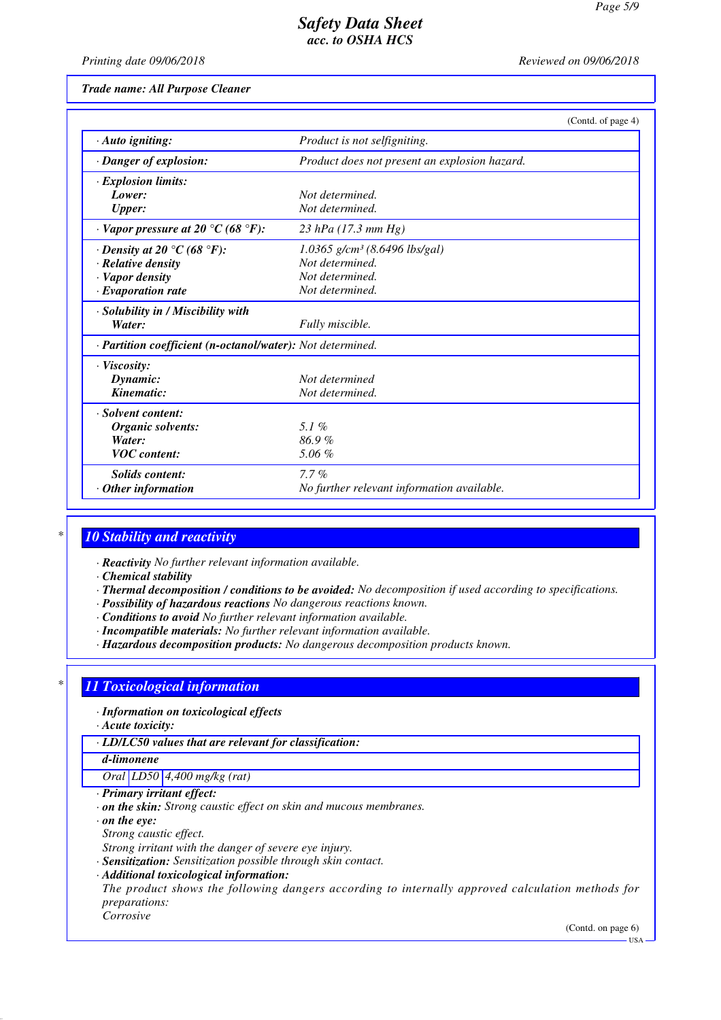*Printing date 09/06/2018 Reviewed on 09/06/2018*

*Trade name: All Purpose Cleaner*

|                                                            | (Contd. of page 4)                            |  |
|------------------------------------------------------------|-----------------------------------------------|--|
| $\cdot$ Auto igniting:                                     | Product is not selfigniting.                  |  |
| · Danger of explosion:                                     | Product does not present an explosion hazard. |  |
| · Explosion limits:                                        |                                               |  |
| Lower:                                                     | Not determined.                               |  |
| <b>Upper:</b>                                              | Not determined.                               |  |
| $\cdot$ Vapor pressure at 20 °C (68 °F):                   | 23 hPa $(17.3 \, mm \, Hg)$                   |  |
| $\cdot$ Density at 20 $\degree$ C (68 $\degree$ F):        | $1.0365$ g/cm <sup>3</sup> (8.6496 lbs/gal)   |  |
| $\cdot$ Relative density                                   | Not determined.                               |  |
| · Vapor density                                            | Not determined.                               |  |
| $\cdot$ Evaporation rate                                   | Not determined.                               |  |
| · Solubility in / Miscibility with                         |                                               |  |
| Water:                                                     | Fully miscible.                               |  |
| · Partition coefficient (n-octanol/water): Not determined. |                                               |  |
| $\cdot$ Viscosity:                                         |                                               |  |
| Dynamic:                                                   | Not determined                                |  |
| Kinematic:                                                 | Not determined.                               |  |
| · Solvent content:                                         |                                               |  |
| Organic solvents:                                          | 5.1%                                          |  |
| Water:                                                     | 86.9%                                         |  |
| <b>VOC</b> content:                                        | 5.06%                                         |  |
| <b>Solids content:</b>                                     | $7.7\%$                                       |  |
| $\cdot$ Other information                                  | No further relevant information available.    |  |

# *\* 10 Stability and reactivity*

*· Reactivity No further relevant information available.*

*· Chemical stability*

- *· Thermal decomposition / conditions to be avoided: No decomposition if used according to specifications.*
- *· Possibility of hazardous reactions No dangerous reactions known.*
- *· Conditions to avoid No further relevant information available.*
- *· Incompatible materials: No further relevant information available.*
- *· Hazardous decomposition products: No dangerous decomposition products known.*

# *\* 11 Toxicological information*

*· Information on toxicological effects*

*· Acute toxicity:*

*· LD/LC50 values that are relevant for classification:*

*d-limonene*

*Oral LD50 4,400 mg/kg (rat)*

- *· Primary irritant effect:*
- *· on the skin: Strong caustic effect on skin and mucous membranes.*

*· on the eye:*

*Strong caustic effect.*

*Strong irritant with the danger of severe eye injury.*

*· Sensitization: Sensitization possible through skin contact.*

*· Additional toxicological information:*

*The product shows the following dangers according to internally approved calculation methods for preparations: Corrosive*

(Contd. on page 6)

USA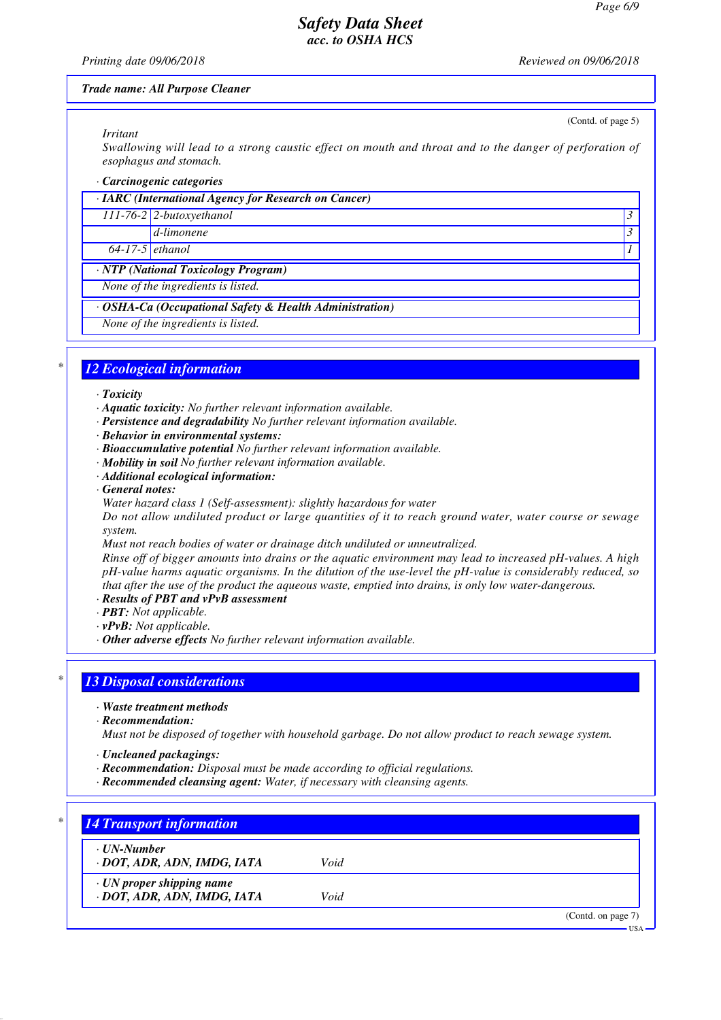#### *Printing date 09/06/2018 Reviewed on 09/06/2018*

(Contd. of page 5)

#### *Trade name: All Purpose Cleaner*

#### *Irritant*

*Swallowing will lead to a strong caustic effect on mouth and throat and to the danger of perforation of esophagus and stomach.*

#### *· Carcinogenic categories*

|                   | $\cdot$ IARC (International Agency for Research on Cancer) |  |
|-------------------|------------------------------------------------------------|--|
|                   | $111-76-2$ 2-butoxyethanol                                 |  |
|                   | $\mathcal{A}-limonene$                                     |  |
| $64-17-5$ ethanol |                                                            |  |
|                   | · NTP (National Toxicology Program)                        |  |
|                   | None of the inquadiente is listed                          |  |

*None of the ingredients is listed.*

## *· OSHA-Ca (Occupational Safety & Health Administration)*

*None of the ingredients is listed.*

## *\* 12 Ecological information*

#### *· Toxicity*

- *· Aquatic toxicity: No further relevant information available.*
- *· Persistence and degradability No further relevant information available.*
- *· Behavior in environmental systems:*
- *· Bioaccumulative potential No further relevant information available.*
- *· Mobility in soil No further relevant information available.*
- *· Additional ecological information:*
- *· General notes:*
- *Water hazard class 1 (Self-assessment): slightly hazardous for water*

*Do not allow undiluted product or large quantities of it to reach ground water, water course or sewage system.*

*Must not reach bodies of water or drainage ditch undiluted or unneutralized.*

*Rinse off of bigger amounts into drains or the aquatic environment may lead to increased pH-values. A high pH-value harms aquatic organisms. In the dilution of the use-level the pH-value is considerably reduced, so that after the use of the product the aqueous waste, emptied into drains, is only low water-dangerous.*

- *· Results of PBT and vPvB assessment*
- *· PBT: Not applicable.*
- *· vPvB: Not applicable.*
- *· Other adverse effects No further relevant information available.*

## *\* 13 Disposal considerations*

- *· Waste treatment methods*
- *· Recommendation:*

*Must not be disposed of together with household garbage. Do not allow product to reach sewage system.*

- *· Uncleaned packagings:*
- *· Recommendation: Disposal must be made according to official regulations.*
- *· Recommended cleansing agent: Water, if necessary with cleansing agents.*

| · UN-Number                     |      |  |
|---------------------------------|------|--|
| · DOT, ADR, ADN, IMDG, IATA     | Void |  |
| $\cdot$ UN proper shipping name |      |  |
| · DOT, ADR, ADN, IMDG, IATA     | Void |  |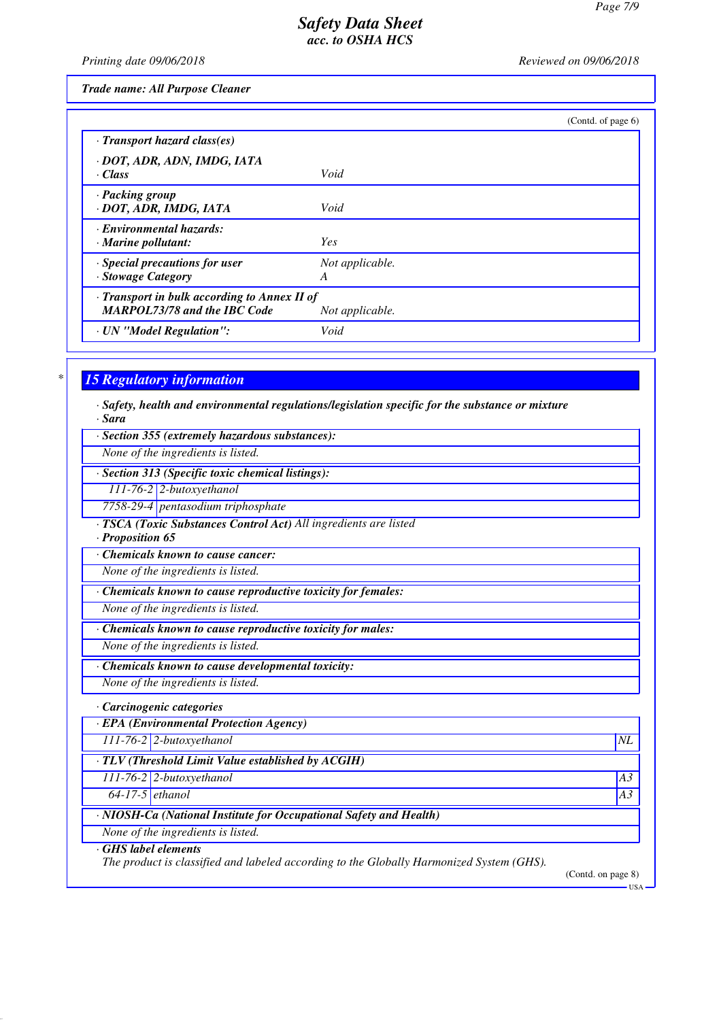*Printing date 09/06/2018 Reviewed on 09/06/2018*

*Trade name: All Purpose Cleaner*

|                                                                                     |                      | (Cond. of page 6) |
|-------------------------------------------------------------------------------------|----------------------|-------------------|
| $\cdot$ Transport hazard class(es)                                                  |                      |                   |
| · DOT, ADR, ADN, IMDG, IATA                                                         |                      |                   |
| $\cdot$ Class                                                                       | Void                 |                   |
| · Packing group<br>· DOT, ADR, IMDG, IATA                                           | Void                 |                   |
| · Environmental hazards:<br>$\cdot$ Marine pollutant:                               | <b>Yes</b>           |                   |
| · Special precautions for user<br>· Stowage Category                                | Not applicable.<br>A |                   |
| · Transport in bulk according to Annex II of<br><b>MARPOL73/78 and the IBC Code</b> | Not applicable.      |                   |
| · UN "Model Regulation":                                                            | Void                 |                   |

## *\* 15 Regulatory information*

*· Safety, health and environmental regulations/legislation specific for the substance or mixture · Sara*

*· Section 355 (extremely hazardous substances):*

*None of the ingredients is listed.*

*· Section 313 (Specific toxic chemical listings):*

*111-76-2 2-butoxyethanol*

*7758-29-4 pentasodium triphosphate*

*· TSCA (Toxic Substances Control Act) All ingredients are listed*

*· Proposition 65*

*· Chemicals known to cause cancer:*

*None of the ingredients is listed.*

*· Chemicals known to cause reproductive toxicity for females:*

*None of the ingredients is listed.*

*· Chemicals known to cause reproductive toxicity for males:*

*None of the ingredients is listed.*

*· Chemicals known to cause developmental toxicity:*

*None of the ingredients is listed.*

#### *· Carcinogenic categories*

*· EPA (Environmental Protection Agency)*

*111-76-2 2-butoxyethanol NL*

*· TLV (Threshold Limit Value established by ACGIH)*

*111-76-2 2-butoxyethanol A3*

*64-17-5 ethanol A3*

# *· NIOSH-Ca (National Institute for Occupational Safety and Health)*

*None of the ingredients is listed.*

## *· GHS label elements*

*The product is classified and labeled according to the Globally Harmonized System (GHS).*

(Contd. on page 8) USA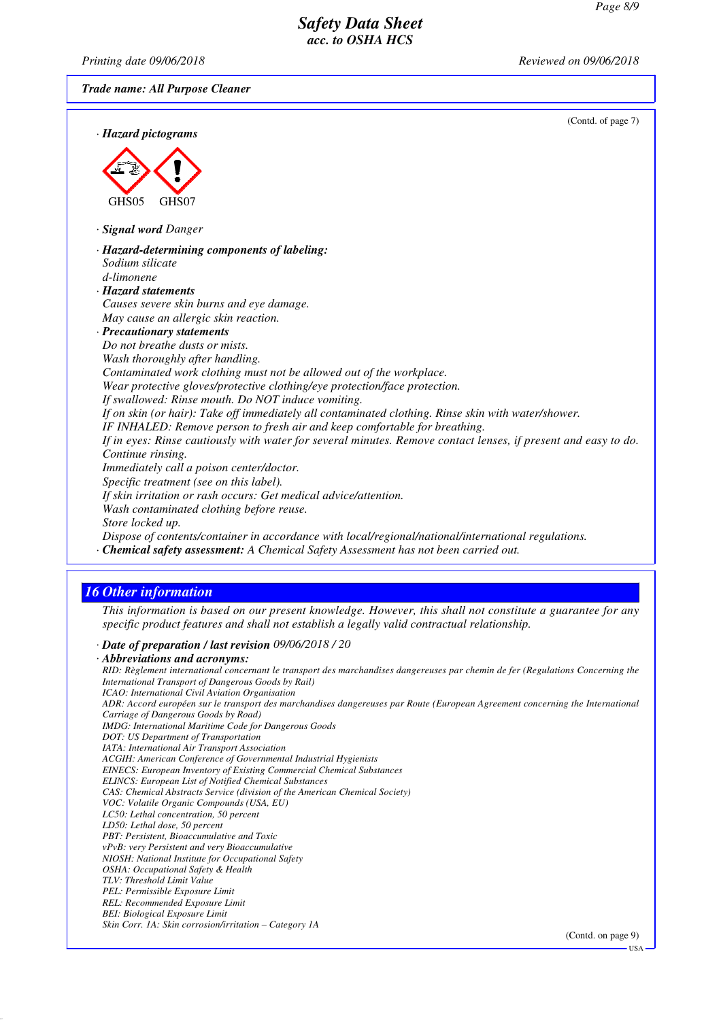*Printing date 09/06/2018 Reviewed on 09/06/2018*

*Trade name: All Purpose Cleaner*

(Contd. of page 7)

USA

| (Conta. or page $\ell$ )<br>· Hazard pictograms                                                                                                                                                           |  |
|-----------------------------------------------------------------------------------------------------------------------------------------------------------------------------------------------------------|--|
|                                                                                                                                                                                                           |  |
|                                                                                                                                                                                                           |  |
| GHS05<br>GHS07                                                                                                                                                                                            |  |
| · Signal word Danger                                                                                                                                                                                      |  |
| · Hazard-determining components of labeling:                                                                                                                                                              |  |
| Sodium silicate                                                                                                                                                                                           |  |
| d-limonene                                                                                                                                                                                                |  |
| · Hazard statements                                                                                                                                                                                       |  |
| Causes severe skin burns and eye damage.                                                                                                                                                                  |  |
| May cause an allergic skin reaction.                                                                                                                                                                      |  |
| · Precautionary statements                                                                                                                                                                                |  |
| Do not breathe dusts or mists.                                                                                                                                                                            |  |
| Wash thoroughly after handling.                                                                                                                                                                           |  |
| Contaminated work clothing must not be allowed out of the workplace.                                                                                                                                      |  |
| Wear protective gloves/protective clothing/eye protection/face protection.                                                                                                                                |  |
| If swallowed: Rinse mouth. Do NOT induce vomiting.                                                                                                                                                        |  |
| If on skin (or hair): Take off immediately all contaminated clothing. Rinse skin with water/shower.                                                                                                       |  |
| IF INHALED: Remove person to fresh air and keep comfortable for breathing.                                                                                                                                |  |
| If in eyes: Rinse cautiously with water for several minutes. Remove contact lenses, if present and easy to do.                                                                                            |  |
| Continue rinsing.                                                                                                                                                                                         |  |
| Immediately call a poison center/doctor.                                                                                                                                                                  |  |
| Specific treatment (see on this label).                                                                                                                                                                   |  |
| If skin irritation or rash occurs: Get medical advice/attention.                                                                                                                                          |  |
| Wash contaminated clothing before reuse.                                                                                                                                                                  |  |
| Store locked up.                                                                                                                                                                                          |  |
| Dispose of contents/container in accordance with local/regional/national/international regulations.                                                                                                       |  |
| · Chemical safety assessment: A Chemical Safety Assessment has not been carried out.                                                                                                                      |  |
|                                                                                                                                                                                                           |  |
| <b>16 Other information</b>                                                                                                                                                                               |  |
| This information is based on our present knowledge. However, this shall not constitute a guarantee for any<br>specific product features and shall not establish a legally valid contractual relationship. |  |
| · Date of preparation / last revision 09/06/2018 / 20                                                                                                                                                     |  |

*· Abbreviations and acronyms: RID: Règlement international concernant le transport des marchandises dangereuses par chemin de fer (Regulations Concerning the International Transport of Dangerous Goods by Rail) ICAO: International Civil Aviation Organisation ADR: Accord européen sur le transport des marchandises dangereuses par Route (European Agreement concerning the International Carriage of Dangerous Goods by Road) IMDG: International Maritime Code for Dangerous Goods DOT: US Department of Transportation IATA: International Air Transport Association ACGIH: American Conference of Governmental Industrial Hygienists EINECS: European Inventory of Existing Commercial Chemical Substances ELINCS: European List of Notified Chemical Substances CAS: Chemical Abstracts Service (division of the American Chemical Society) VOC: Volatile Organic Compounds (USA, EU) LC50: Lethal concentration, 50 percent LD50: Lethal dose, 50 percent PBT: Persistent, Bioaccumulative and Toxic vPvB: very Persistent and very Bioaccumulative NIOSH: National Institute for Occupational Safety OSHA: Occupational Safety & Health TLV: Threshold Limit Value PEL: Permissible Exposure Limit REL: Recommended Exposure Limit BEI: Biological Exposure Limit Skin Corr. 1A: Skin corrosion/irritation – Category 1A* (Contd. on page 9)